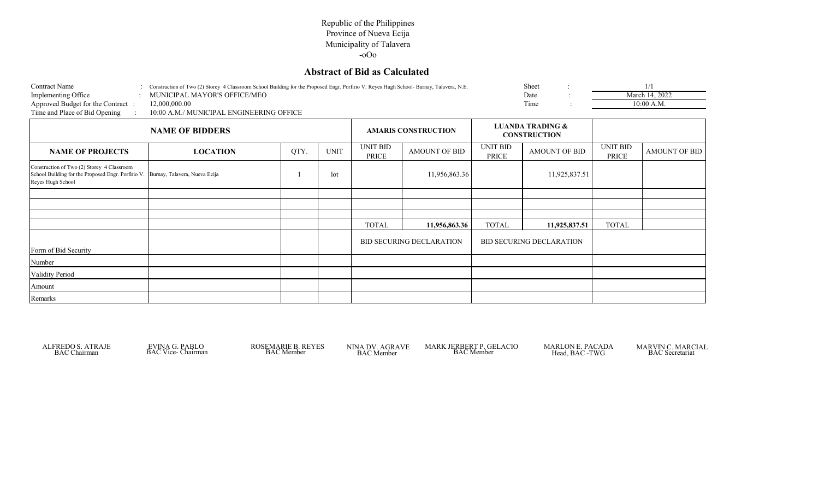## **Abstract of Bid as Calculated**

| <b>Contract Name</b>              | Construction of Two (2) Storey 4 Classroom School Building for the Proposed Engr. Porfirio V. Reves Hugh School-Burnay, Talavera, N.E. | Sheet                        |                |
|-----------------------------------|----------------------------------------------------------------------------------------------------------------------------------------|------------------------------|----------------|
| Implementing Office               | MUNICIPAL MAYOR'S OFFICE/MEO                                                                                                           | Date                         | March 14, 2022 |
| Approved Budget for the Contract: | 12.000.000.00                                                                                                                          | Time                         | 10:00 A.M.     |
| Time and Place of Bid Opening     | 10:00 A.M./ MUNICIPAL ENGINEERING OFFICE                                                                                               |                              |                |
|                                   |                                                                                                                                        | <b>I HANDA TRADING &amp;</b> |                |

|                                                                                                                                                     | <b>NAME OF BIDDERS</b> |      |             |                          |                                 |                          | <b>LUANDA TRADING &amp;</b><br><b>CONSTRUCTION</b> |                          |                      |
|-----------------------------------------------------------------------------------------------------------------------------------------------------|------------------------|------|-------------|--------------------------|---------------------------------|--------------------------|----------------------------------------------------|--------------------------|----------------------|
| <b>NAME OF PROJECTS</b>                                                                                                                             | <b>LOCATION</b>        | QTY. | <b>UNIT</b> | UNIT BID<br><b>PRICE</b> | <b>AMOUNT OF BID</b>            | <b>UNIT BID</b><br>PRICE | AMOUNT OF BID                                      | <b>UNIT BID</b><br>PRICE | <b>AMOUNT OF BID</b> |
| Construction of Two (2) Storey 4 Classroom<br>School Building for the Proposed Engr. Porfirio V. Burnay, Talavera, Nueva Ecija<br>Reyes Hugh School |                        |      | lot         |                          | 11,956,863.36                   |                          | 11,925,837.51                                      |                          |                      |
|                                                                                                                                                     |                        |      |             |                          |                                 |                          |                                                    |                          |                      |
|                                                                                                                                                     |                        |      |             |                          |                                 |                          |                                                    |                          |                      |
|                                                                                                                                                     |                        |      |             |                          |                                 |                          |                                                    |                          |                      |
|                                                                                                                                                     |                        |      |             | <b>TOTAL</b>             | 11,956,863.36                   | <b>TOTAL</b>             | 11,925,837.51                                      | <b>TOTAL</b>             |                      |
| Form of Bid Security                                                                                                                                |                        |      |             |                          | <b>BID SECURING DECLARATION</b> |                          | <b>BID SECURING DECLARATION</b>                    |                          |                      |
| Number                                                                                                                                              |                        |      |             |                          |                                 |                          |                                                    |                          |                      |
| <b>Validity Period</b>                                                                                                                              |                        |      |             |                          |                                 |                          |                                                    |                          |                      |
| Amount                                                                                                                                              |                        |      |             |                          |                                 |                          |                                                    |                          |                      |
| Remarks                                                                                                                                             |                        |      |             |                          |                                 |                          |                                                    |                          |                      |

ROSEMARIE B. REYES<br>BAC Member

ALFREDO S. ATRAJE EVINA G. PABLO ROSEMARIE B. REYES NINA DV. AGRAVE MARK JERBERT P. GELACIO MARLON E. PACADA MARVIN C. MARC<br>BAC Member BAC Member BAC Member BAC Member BAC Secretariat

MARLON E. PACADA MARVIN C. MARCIAL Head, BAC -TWG BAC Secretariat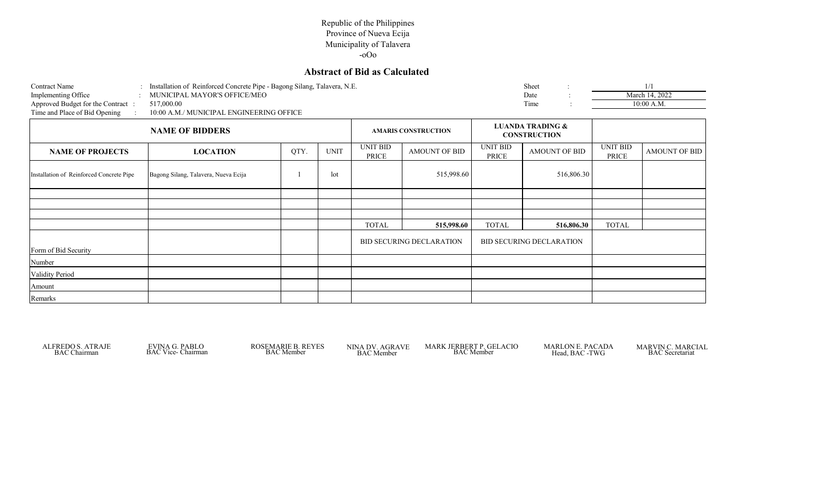# **Abstract of Bid as Calculated**

| <b>Contract Name</b>              | Installation of Reinforced Concrete Pipe - Bagong Silang, Talavera, N.E. | Sheet |                |
|-----------------------------------|--------------------------------------------------------------------------|-------|----------------|
| Implementing Office               | MUNICIPAL MAYOR'S OFFICE/MEO                                             | Date  | March 14, 2022 |
| Approved Budget for the Contract: | 517,000.00                                                               | l'ime | 10:00 A.M.     |
| Time and Place of Bid Opening     | 10:00 A.M./ MUNICIPAL ENGINEERING OFFICE                                 |       |                |
|                                   |                                                                          |       |                |

|                                          |                                      | <b>AMARIS CONSTRUCTION</b> |             |                          | <b>LUANDA TRADING &amp;</b><br><b>CONSTRUCTION</b> |                          |                                 |                          |                      |
|------------------------------------------|--------------------------------------|----------------------------|-------------|--------------------------|----------------------------------------------------|--------------------------|---------------------------------|--------------------------|----------------------|
| <b>NAME OF PROJECTS</b>                  | <b>LOCATION</b>                      | QTY.                       | <b>UNIT</b> | <b>UNIT BID</b><br>PRICE | AMOUNT OF BID                                      | <b>UNIT BID</b><br>PRICE | <b>AMOUNT OF BID</b>            | <b>UNIT BID</b><br>PRICE | <b>AMOUNT OF BID</b> |
| Installation of Reinforced Concrete Pipe | Bagong Silang, Talavera, Nueva Ecija |                            | lot         |                          | 515,998.60                                         |                          | 516,806.30                      |                          |                      |
|                                          |                                      |                            |             |                          |                                                    |                          |                                 |                          |                      |
|                                          |                                      |                            |             |                          |                                                    |                          |                                 |                          |                      |
|                                          |                                      |                            |             |                          |                                                    |                          |                                 |                          |                      |
|                                          |                                      |                            |             | <b>TOTAL</b>             | 515,998.60                                         | <b>TOTAL</b>             | 516,806.30                      | <b>TOTAL</b>             |                      |
| Form of Bid Security                     |                                      |                            |             |                          | <b>BID SECURING DECLARATION</b>                    |                          | <b>BID SECURING DECLARATION</b> |                          |                      |
| Number                                   |                                      |                            |             |                          |                                                    |                          |                                 |                          |                      |
| <b>Validity Period</b>                   |                                      |                            |             |                          |                                                    |                          |                                 |                          |                      |
| Amount                                   |                                      |                            |             |                          |                                                    |                          |                                 |                          |                      |
| Remarks                                  |                                      |                            |             |                          |                                                    |                          |                                 |                          |                      |

ROSEMARIE B. REYES<br>BAC Member

ALFREDO S. ATRAJE EVINA G. PABLO ROSEMARIE B. REYES NINA DV. AGRAVE MARK JERBERT P. GELACIO MARLON E. PACADA MARVIN C. MARC<br>BAC Member BAC Member BAC Member BAC Member BAC Secretariat

MARLON E. PACADA MARVIN C. MARCIAL Head, BAC -TWG BAC Secretariat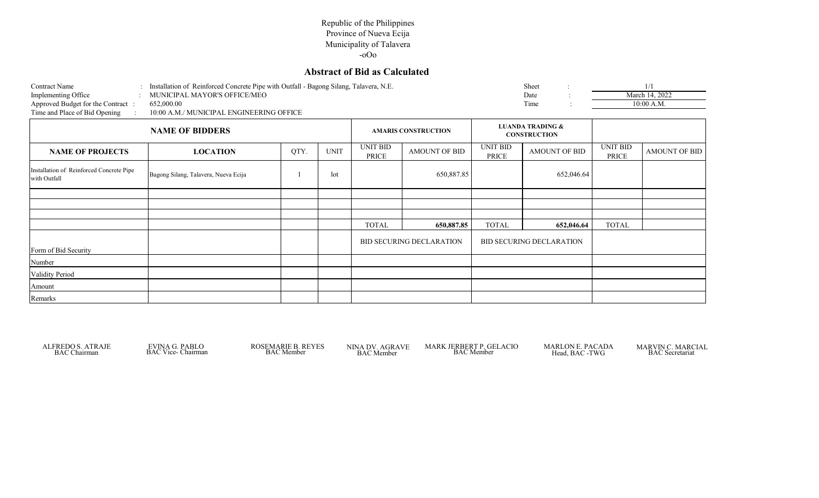## **Abstract of Bid as Calculated**

| <b>Contract Name</b>              | Installation of Reinforced Concrete Pipe with Outfall - Bagong Silang, Talavera, N.E. |                             | Sheet                       |                |
|-----------------------------------|---------------------------------------------------------------------------------------|-----------------------------|-----------------------------|----------------|
| Implementing Office               | MUNICIPAL MAYOR'S OFFICE/MEO                                                          |                             | Date                        | March 14, 2022 |
| Approved Budget for the Contract: | 652,000.00                                                                            |                             | Time                        | 10:00 A.M.     |
| Time and Place of Bid Opening     | 10:00 A.M./ MUNICIPAL ENGINEERING OFFICE                                              |                             |                             |                |
|                                   | <b>NAME OF DIRREDS</b>                                                                | <b>AMA DIC CONCEDUCTION</b> | <b>LUANDA TRADING &amp;</b> |                |

|                                                          | <b>NAME OF BIDDERS</b>               |      |             |                          |                                 |                   | <b>LUANDA TRADING &amp;</b><br><b>CONSTRUCTION</b> |                          |               |
|----------------------------------------------------------|--------------------------------------|------|-------------|--------------------------|---------------------------------|-------------------|----------------------------------------------------|--------------------------|---------------|
| <b>NAME OF PROJECTS</b>                                  | <b>LOCATION</b>                      | QTY. | <b>UNIT</b> | <b>UNIT BID</b><br>PRICE | AMOUNT OF BID                   | UNIT BID<br>PRICE | AMOUNT OF BID                                      | <b>UNIT BID</b><br>PRICE | AMOUNT OF BID |
| Installation of Reinforced Concrete Pipe<br>with Outfall | Bagong Silang, Talavera, Nueva Ecija |      | lot         |                          | 650,887.85                      |                   | 652,046.64                                         |                          |               |
|                                                          |                                      |      |             |                          |                                 |                   |                                                    |                          |               |
|                                                          |                                      |      |             |                          |                                 |                   |                                                    |                          |               |
|                                                          |                                      |      |             |                          |                                 |                   |                                                    |                          |               |
|                                                          |                                      |      |             | <b>TOTAL</b>             | 650,887.85                      | <b>TOTAL</b>      | 652,046.64                                         | <b>TOTAL</b>             |               |
| Form of Bid Security                                     |                                      |      |             |                          | <b>BID SECURING DECLARATION</b> |                   | <b>BID SECURING DECLARATION</b>                    |                          |               |
| Number                                                   |                                      |      |             |                          |                                 |                   |                                                    |                          |               |
| Validity Period                                          |                                      |      |             |                          |                                 |                   |                                                    |                          |               |
| Amount                                                   |                                      |      |             |                          |                                 |                   |                                                    |                          |               |
| Remarks                                                  |                                      |      |             |                          |                                 |                   |                                                    |                          |               |

ALFREDO S. ATRAJE EVINA G. PABLO ROSEMARIE B. REYES NINA DV. AGRAVE MARK JERBERT P. GELACIO MARLON E. PACADA MARVIN C. MARC<br>BAC Member BAC Member BAC Member BAC Member BAC Secretariat

MARLON E. PACADA MARVIN C. MARCIAL Head, BAC -TWG BAC Secretariat

ROSEMARIE B. REYES<br>BAC Member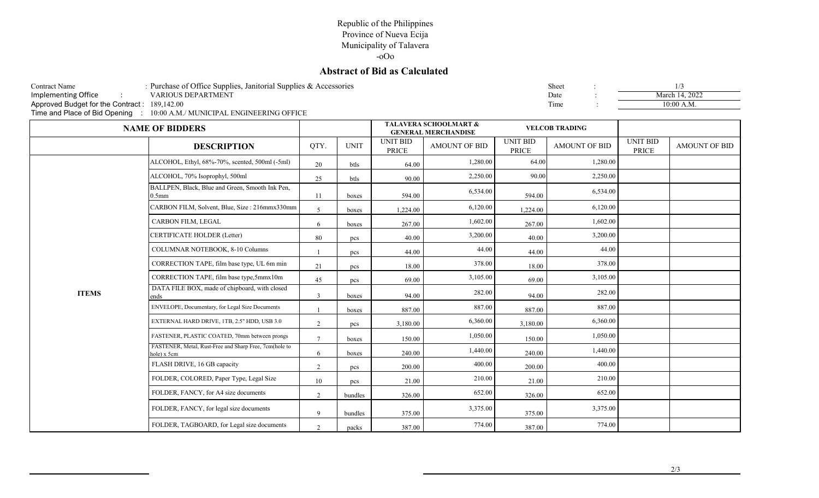# **Abstract of Bid as Calculated**

| Contract Name                                | : Purchase of Office Supplies, Janitorial Supplies & Accessories         | Sheet |  |
|----------------------------------------------|--------------------------------------------------------------------------|-------|--|
| Implementing Office                          | VARIOUS DEPARTMENT                                                       | Date  |  |
| Approved Budget for the Contract: 189,142.00 |                                                                          | Time  |  |
|                                              | Time and Place of Bid Opening : 10:00 A.M./ MUNICIPAL ENGINEERING OFFICE |       |  |

| Sheet | ٠<br>٠ | 1/3            |
|-------|--------|----------------|
| Date  |        | March 14, 2022 |
| Time  |        | $10:00$ A.M.   |

|              | <b>NAME OF BIDDERS</b>                                                |                |             |                                 | <b>TALAVERA SCHOOLMART &amp;</b><br><b>GENERAL MERCHANDISE</b> | <b>VELCOB TRADING</b>    |                      |                          |                      |
|--------------|-----------------------------------------------------------------------|----------------|-------------|---------------------------------|----------------------------------------------------------------|--------------------------|----------------------|--------------------------|----------------------|
|              | <b>DESCRIPTION</b>                                                    | QTY.           | <b>UNIT</b> | <b>UNIT BID</b><br><b>PRICE</b> | <b>AMOUNT OF BID</b>                                           | <b>UNIT BID</b><br>PRICE | <b>AMOUNT OF BID</b> | <b>UNIT BID</b><br>PRICE | <b>AMOUNT OF BID</b> |
|              | ALCOHOL, Ethyl, 68%-70%, scented, 500ml (-5ml)                        | 20             | btls        | 64.00                           | 1,280.00                                                       | 64.00                    | 1,280.00             |                          |                      |
|              | ALCOHOL, 70% Isoprophyl, 500ml                                        | 25             | btls        | 90.00                           | 2,250.00                                                       | 90.00                    | 2,250.00             |                          |                      |
|              | BALLPEN, Black, Blue and Green, Smooth Ink Pen,<br>0.5 <sub>mm</sub>  | 11             | boxes       | 594.00                          | 6,534.00                                                       | 594.00                   | 6,534.00             |                          |                      |
|              | CARBON FILM, Solvent, Blue, Size: 216mmx330mm                         | $\overline{5}$ | boxes       | 1,224.00                        | 6,120.00                                                       | 1,224.00                 | 6,120.00             |                          |                      |
|              | CARBON FILM, LEGAL                                                    | 6              | boxes       | 267.00                          | 1,602.00                                                       | 267.00                   | 1,602.00             |                          |                      |
|              | CERTIFICATE HOLDER (Letter)                                           | 80             | pcs         | 40.00                           | 3,200.00                                                       | 40.00                    | 3,200.00             |                          |                      |
|              | COLUMNAR NOTEBOOK, 8-10 Columns                                       |                | pcs         | 44.00                           | 44.00                                                          | 44.00                    | 44.00                |                          |                      |
|              | CORRECTION TAPE, film base type, UL 6m min                            | 21             | pcs         | 18.00                           | 378.00                                                         | 18.00                    | 378.00               |                          |                      |
|              | CORRECTION TAPE, film base type,5mmx10m                               | 45             | pcs         | 69.00                           | 3,105.00                                                       | 69.00                    | 3,105.00             |                          |                      |
| <b>ITEMS</b> | DATA FILE BOX, made of chipboard, with closed<br>ends                 | $\overline{3}$ | boxes       | 94.00                           | 282.00                                                         | 94.00                    | 282.00               |                          |                      |
|              | ENVELOPE, Documentary, for Legal Size Documents                       |                | boxes       | 887.00                          | 887.00                                                         | 887.00                   | 887.00               |                          |                      |
|              | EXTERNAL HARD DRIVE, 1TB, 2.5" HDD, USB 3.0                           | 2              | pcs         | 3,180.00                        | 6,360.00                                                       | 3,180.00                 | 6,360.00             |                          |                      |
|              | FASTENER, PLASTIC COATED, 70mm between prongs                         | $\mathcal{I}$  | boxes       | 150.00                          | 1,050.00                                                       | 150.00                   | 1,050.00             |                          |                      |
|              | FASTENER, Metal, Rust-Free and Sharp Free, 7cm(hole to<br>hole) x 5cm | 6              | boxes       | 240.00                          | 1,440.00                                                       | 240.00                   | 1,440.00             |                          |                      |
|              | FLASH DRIVE, 16 GB capacity                                           | 2              | pcs         | 200.00                          | 400.00                                                         | 200.00                   | 400.00               |                          |                      |
|              | FOLDER, COLORED, Paper Type, Legal Size                               | 10             | pcs         | 21.00                           | 210.00                                                         | 21.00                    | 210.00               |                          |                      |
|              | FOLDER, FANCY, for A4 size documents                                  | 2              | bundles     | 326.00                          | 652.00                                                         | 326.00                   | 652.00               |                          |                      |
|              | FOLDER, FANCY, for legal size documents                               | $\mathbf{Q}$   | bundles     | 375.00                          | 3,375.00                                                       | 375.00                   | 3,375.00             |                          |                      |
|              | FOLDER, TAGBOARD, for Legal size documents                            | 2              | packs       | 387.00                          | 774.00                                                         | 387.00                   | 774.00               |                          |                      |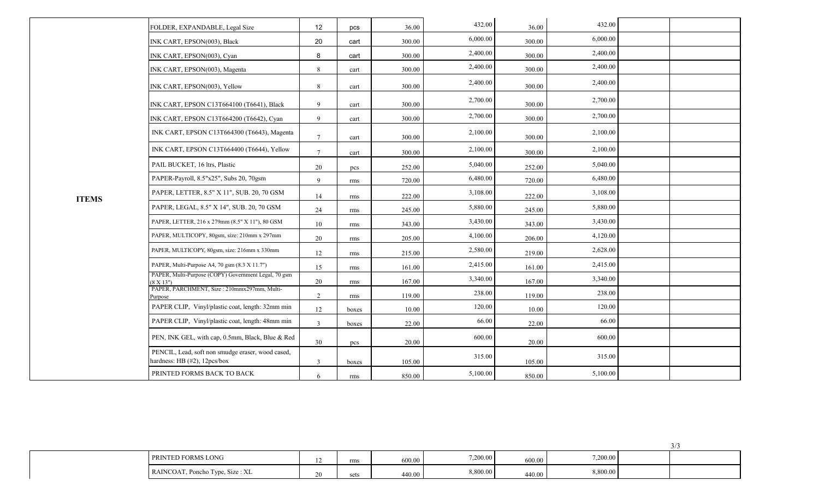|              | FOLDER, EXPANDABLE, Legal Size                                                    | 12              | pcs   | 36.00  | 432.00   | 36.00  | 432.00   |  |
|--------------|-----------------------------------------------------------------------------------|-----------------|-------|--------|----------|--------|----------|--|
|              | INK CART, EPSON(003), Black                                                       | 20              | cart  | 300.00 | 6,000.00 | 300.00 | 6,000.00 |  |
|              | INK CART, EPSON(003), Cyan                                                        | 8               | cart  | 300.00 | 2,400.00 | 300.00 | 2,400.00 |  |
|              | INK CART, EPSON(003), Magenta                                                     | 8               | cart  | 300.00 | 2,400.00 | 300.00 | 2,400.00 |  |
|              | INK CART, EPSON(003), Yellow                                                      | 8               | cart  | 300.00 | 2,400.00 | 300.00 | 2,400.00 |  |
|              | INK CART, EPSON C13T664100 (T6641), Black                                         | $\mathbf{Q}$    | cart  | 300.00 | 2,700.00 | 300.00 | 2,700.00 |  |
|              | INK CART, EPSON C13T664200 (T6642), Cyan                                          | $\mathbf{Q}$    | cart  | 300.00 | 2,700.00 | 300.00 | 2,700.00 |  |
|              | INK CART, EPSON C13T664300 (T6643), Magenta                                       | $7\phantom{.0}$ | cart  | 300.00 | 2,100.00 | 300.00 | 2,100.00 |  |
|              | INK CART, EPSON C13T664400 (T6644), Yellow                                        | $\overline{7}$  | cart  | 300.00 | 2,100.00 | 300.00 | 2,100.00 |  |
|              | PAIL BUCKET, 16 ltrs, Plastic                                                     | 20              | pcs   | 252.00 | 5,040.00 | 252.00 | 5,040.00 |  |
|              | PAPER-Payroll, 8.5"x25", Subs 20, 70gsm                                           | 9               | rms   | 720.00 | 6,480.00 | 720.00 | 6,480.00 |  |
| <b>ITEMS</b> | PAPER, LETTER, 8.5" X 11", SUB. 20, 70 GSM                                        | 14              | rms   | 222.00 | 3,108.00 | 222.00 | 3,108.00 |  |
|              | PAPER, LEGAL, 8.5" X 14", SUB. 20, 70 GSM                                         | 24              | rms   | 245.00 | 5,880.00 | 245.00 | 5,880.00 |  |
|              | PAPER, LETTER, 216 x 279mm (8.5" X 11"), 80 GSM                                   | 10              | rms   | 343.00 | 3,430.00 | 343.00 | 3,430.00 |  |
|              | PAPER, MULTICOPY, 80gsm, size: 210mm x 297mm                                      | 20              | rms   | 205.00 | 4,100.00 | 206.00 | 4,120.00 |  |
|              | PAPER, MULTICOPY, 80gsm, size: 216mm x 330mm                                      | 12              | rms   | 215.00 | 2,580.00 | 219.00 | 2,628.00 |  |
|              | PAPER, Multi-Purpose A4, 70 gsm (8.3 X 11.7")                                     | 15              | rms   | 161.00 | 2,415.00 | 161.00 | 2,415.00 |  |
|              | PAPER, Multi-Purpose (COPY) Government Legal, 70 gsm<br>$(8 \ X \ 13")$           | 20              | rms   | 167.00 | 3,340.00 | 167.00 | 3,340.00 |  |
|              | PAPER, PARCHMENT, Size: 210mmx297mm, Multi-<br>Purpose                            | 2               | rms   | 119.00 | 238.00   | 119.00 | 238.00   |  |
|              | PAPER CLIP, Vinyl/plastic coat, length: 32mm min                                  | 12              | boxes | 10.00  | 120.00   | 10.00  | 120.00   |  |
|              | PAPER CLIP, Vinyl/plastic coat, length: 48mm min                                  | $\overline{3}$  | boxes | 22.00  | 66.00    | 22.00  | 66.00    |  |
|              | PEN, INK GEL, with cap, 0.5mm, Black, Blue & Red                                  | 30              | pcs   | 20.00  | 600.00   | 20.00  | 600.00   |  |
|              | PENCIL, Lead, soft non smudge eraser, wood cased,<br>hardness: HB (#2), 12pcs/box | 3               | boxes | 105.00 | 315.00   | 105.00 | 315.00   |  |
|              | PRINTED FORMS BACK TO BACK                                                        | 6               | rms   | 850.00 | 5,100.00 | 850.00 | 5,100.00 |  |

| D FORMS LONG<br>PRIN' <sub>1</sub> | rms  | 600.00 | 7,200.00 | 600.00 | 7,200.00 |  |
|------------------------------------|------|--------|----------|--------|----------|--|
| RAINCOAT, Poncho Type, Size : XL   | sets | 440.00 | 8,800.00 | 440.00 | 8,800.00 |  |

 $3/3$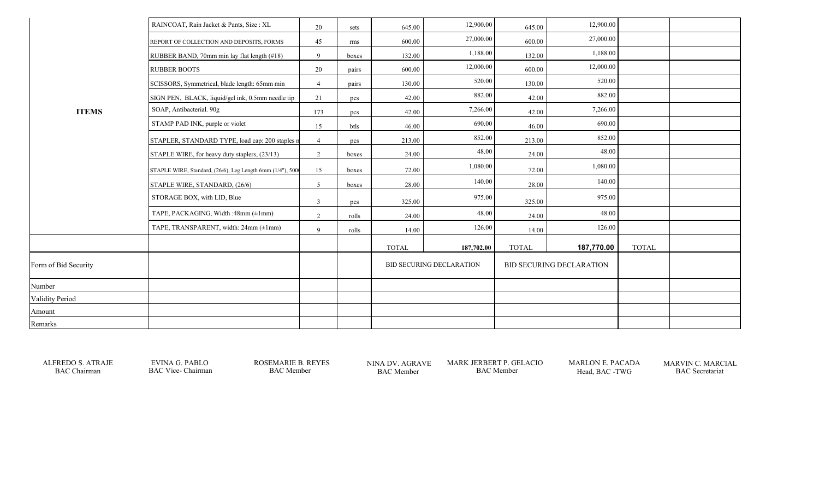|                      | RAINCOAT, Rain Jacket & Pants, Size: XL                   | 20             | sets  | 645.00       | 12,900.00                       | 645.00       | 12,900.00                       |              |  |
|----------------------|-----------------------------------------------------------|----------------|-------|--------------|---------------------------------|--------------|---------------------------------|--------------|--|
|                      | REPORT OF COLLECTION AND DEPOSITS, FORMS                  | 45             | rms   | 600.00       | 27,000.00                       | 600.00       | 27,000.00                       |              |  |
|                      | RUBBER BAND, 70mm min lay flat length (#18)               | 9              | boxes | 132.00       | 1,188.00                        | 132.00       | 1,188.00                        |              |  |
|                      | <b>RUBBER BOOTS</b>                                       | 20             | pairs | 600.00       | 12,000.00                       | 600.00       | 12,000.00                       |              |  |
|                      | SCISSORS, Symmetrical, blade length: 65mm min             | $\overline{4}$ | pairs | 130.00       | 520.00                          | 130.00       | 520.00                          |              |  |
|                      | SIGN PEN, BLACK, liquid/gel ink, 0.5mm needle tip         | 21             | pcs   | 42.00        | 882.00                          | 42.00        | 882.00                          |              |  |
| <b>ITEMS</b>         | SOAP, Antibacterial. 90g                                  | 173            | pcs   | 42.00        | 7,266.00                        | 42.00        | 7,266.00                        |              |  |
|                      | STAMP PAD INK, purple or violet                           | 15             | btls  | 46.00        | 690.00                          | 46.00        | 690.00                          |              |  |
|                      | STAPLER, STANDARD TYPE, load cap: 200 staples n           | $\overline{4}$ | pcs   | 213.00       | 852.00                          | 213.00       | 852.00                          |              |  |
|                      | STAPLE WIRE, for heavy duty staplers, (23/13)             | 2              | boxes | 24.00        | 48.00                           | 24.00        | 48.00                           |              |  |
|                      | STAPLE WIRE, Standard, (26/6), Leg Length 6mm (1/4"), 500 | 15             | boxes | 72.00        | 1,080.00                        | 72.00        | 1,080.00                        |              |  |
|                      | STAPLE WIRE, STANDARD, (26/6)                             | 5 <sup>5</sup> | boxes | 28.00        | 140.00                          | 28.00        | 140.00                          |              |  |
|                      | STORAGE BOX, with LID, Blue                               | 3              | pcs   | 325.00       | 975.00                          | 325.00       | 975.00                          |              |  |
|                      | TAPE, PACKAGING, Width :48mm (±1mm)                       | $\overline{2}$ | rolls | 24.00        | 48.00                           | 24.00        | 48.00                           |              |  |
|                      | TAPE, TRANSPARENT, width: 24mm (±1mm)                     | 9              | rolls | 14.00        | 126.00                          | 14.00        | 126.00                          |              |  |
|                      |                                                           |                |       | <b>TOTAL</b> | 187,702.00                      | <b>TOTAL</b> | 187,770.00                      | <b>TOTAL</b> |  |
| Form of Bid Security |                                                           |                |       |              | <b>BID SECURING DECLARATION</b> |              | <b>BID SECURING DECLARATION</b> |              |  |
| Number               |                                                           |                |       |              |                                 |              |                                 |              |  |
| Validity Period      |                                                           |                |       |              |                                 |              |                                 |              |  |
| Amount               |                                                           |                |       |              |                                 |              |                                 |              |  |
| Remarks              |                                                           |                |       |              |                                 |              |                                 |              |  |
|                      |                                                           |                |       |              |                                 |              |                                 |              |  |

ALFREDO S. ATRAJE EVINA G. PABLO ROSEMARIE B. REYES NINA DV. AGRAVE MARK JERBERT P. GELACIO BAC Chairman BAC Vice-Chairman BAC Member BAC Member BAC Member BAC Chairman BAC Vice- Chairman BAC Member BAC Member BAC Member BAC Member Head, BAC -TWG BAC Secretariat

MARLON E. PACADA MARVIN C. MARCIAL<br>Head, BAC -TWG BAC Secretariat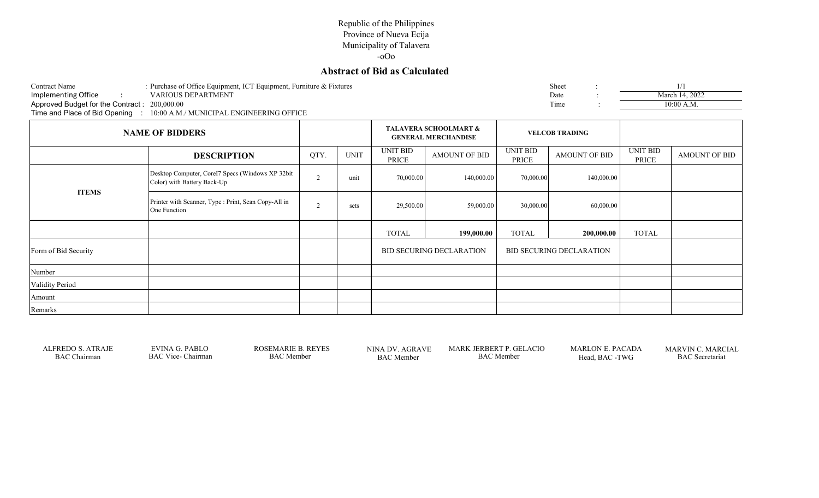## **Abstract of Bid as Calculated**

| Contract Name                                                            |  | : Purchase of Office Equipment, ICT Equipment, Furniture & Fixtures |  |  | Sheet |  |                |  |  |  |
|--------------------------------------------------------------------------|--|---------------------------------------------------------------------|--|--|-------|--|----------------|--|--|--|
| Implementing Office                                                      |  | VARIOUS DEPARTMENT                                                  |  |  | Date  |  | March 14, 2022 |  |  |  |
| Approved Budget for the Contract: 200,000.00                             |  |                                                                     |  |  | Time  |  | $10:00$ A.M.   |  |  |  |
| Time and Place of Bid Opening : 10:00 A.M./ MUNICIPAL ENGINEERING OFFICE |  |                                                                     |  |  |       |  |                |  |  |  |
|                                                                          |  |                                                                     |  |  |       |  |                |  |  |  |

| <b>NAME OF BIDDERS</b> |                                                                                 |                |             | <b>TALAVERA SCHOOLMART &amp;</b><br><b>GENERAL MERCHANDISE</b> |                                                                    | <b>VELCOB TRADING</b> |                      |                          |                      |
|------------------------|---------------------------------------------------------------------------------|----------------|-------------|----------------------------------------------------------------|--------------------------------------------------------------------|-----------------------|----------------------|--------------------------|----------------------|
|                        | <b>DESCRIPTION</b>                                                              | QTY.           | <b>UNIT</b> | UNIT BID<br>PRICE                                              | <b>AMOUNT OF BID</b>                                               | UNIT BID<br>PRICE     | <b>AMOUNT OF BID</b> | <b>UNIT BID</b><br>PRICE | <b>AMOUNT OF BID</b> |
|                        | Desktop Computer, Corel7 Specs (Windows XP 32bit<br>Color) with Battery Back-Up | $\overline{2}$ | unit        | 70,000.00                                                      | 140,000.00                                                         | 70,000.00             | 140,000.00           |                          |                      |
| <b>ITEMS</b>           | Printer with Scanner, Type : Print, Scan Copy-All in<br>One Function            | $\overline{2}$ | sets        | 29,500.00                                                      | 59,000.00                                                          | 30,000.00             | 60,000.00            |                          |                      |
|                        |                                                                                 |                |             | <b>TOTAL</b>                                                   | 199,000.00                                                         | <b>TOTAL</b>          | 200,000.00           | <b>TOTAL</b>             |                      |
| Form of Bid Security   |                                                                                 |                |             |                                                                | <b>BID SECURING DECLARATION</b><br><b>BID SECURING DECLARATION</b> |                       |                      |                          |                      |
| Number                 |                                                                                 |                |             |                                                                |                                                                    |                       |                      |                          |                      |
| Validity Period        |                                                                                 |                |             |                                                                |                                                                    |                       |                      |                          |                      |
| Amount                 |                                                                                 |                |             |                                                                |                                                                    |                       |                      |                          |                      |
| Remarks                |                                                                                 |                |             |                                                                |                                                                    |                       |                      |                          |                      |

BAC Member

ALFREDO S. ATRAJE EVINA G. PABLO ROSEMARIE B. REYES NINA DV. AGRAVE MARK JERBERT P. GELACIO<br>BAC Member BAC Vice- Chairman BAC Member BAC Member BAC Member BAC Member

BAC Chairman BAC Vice- Chairman BAC Member BAC Member BAC Member BAC Member BAC Member Head, BAC -TWG BAC Secretariat MARLON E. PACADA MARVIN C. MARCIAL<br>Head, BAC -TWG BAC Secretariat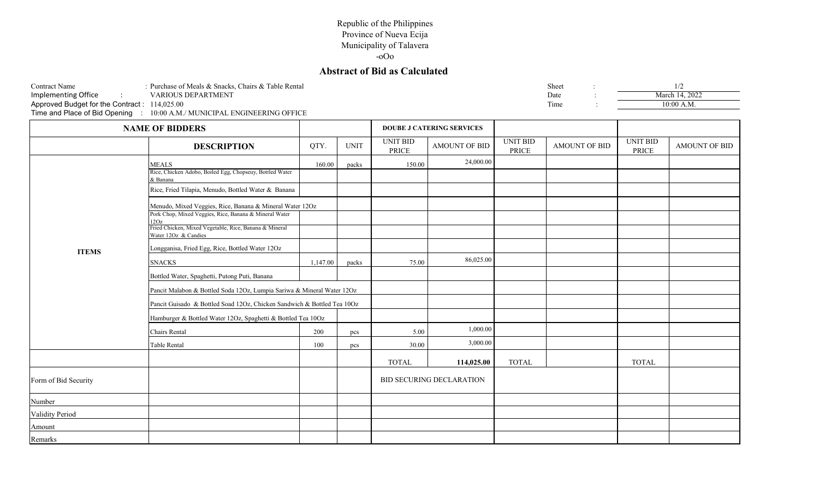# **Abstract of Bid as Calculated**

| : Purchase of Meals & Snacks, Chairs & Table Rental<br>Sheet<br><b>Contract Name</b><br><b>Implementing Office</b><br>VARIOUS DEPARTMENT<br>March 14, 2022<br>Date<br>Approved Budget for the Contract: 114,025.00<br>Time<br>$10:00$ A.M.<br>Time and Place of Bid Opening : 10:00 A.M./ MUNICIPAL ENGINEERING OFFICE |                    |            |             |                   |                                  |                          |                      |                          |               |
|------------------------------------------------------------------------------------------------------------------------------------------------------------------------------------------------------------------------------------------------------------------------------------------------------------------------|--------------------|------------|-------------|-------------------|----------------------------------|--------------------------|----------------------|--------------------------|---------------|
| <b>NAME OF BIDDERS</b>                                                                                                                                                                                                                                                                                                 |                    |            |             |                   | <b>DOUBE J CATERING SERVICES</b> |                          |                      |                          |               |
|                                                                                                                                                                                                                                                                                                                        | <b>DESCRIPTION</b> | <b>QTY</b> | <b>UNIT</b> | UNIT BID<br>PRICE | <b>AMOUNT OF BID</b>             | UNIT BID<br><b>PRICE</b> | <b>AMOUNT OF BID</b> | UNIT BID<br><b>PRICE</b> | AMOUNT OF BID |

|                      | <b>DESCRIPTION</b>                                                                                                 | QTY.     | <b>UNIT</b> | $OIV$ DID<br>PRICE | AMOUNT OF BID                   | $C1$ and $D1$<br>PRICE | AMOUNT OF BID | $U1$ $U1$ $U1$<br><b>PRICE</b> | AMOUNT OF BID |
|----------------------|--------------------------------------------------------------------------------------------------------------------|----------|-------------|--------------------|---------------------------------|------------------------|---------------|--------------------------------|---------------|
|                      | <b>MEALS</b>                                                                                                       | 160.00   | packs       | 150.00             | 24,000.00                       |                        |               |                                |               |
|                      | Rice, Chicken Adobo, Boiled Egg, Chopseuy, Bottled Water<br>& Banana                                               |          |             |                    |                                 |                        |               |                                |               |
|                      | Rice, Fried Tilapia, Menudo, Bottled Water & Banana                                                                |          |             |                    |                                 |                        |               |                                |               |
|                      | Menudo, Mixed Veggies, Rice, Banana & Mineral Water 12Oz<br>Pork Chop, Mixed Veggies, Rice, Banana & Mineral Water |          |             |                    |                                 |                        |               |                                |               |
|                      | 12Oz                                                                                                               |          |             |                    |                                 |                        |               |                                |               |
|                      | Fried Chicken, Mixed Vegetable, Rice, Banana & Mineral<br>Water 12Oz & Candies                                     |          |             |                    |                                 |                        |               |                                |               |
| <b>ITEMS</b>         | Longganisa, Fried Egg, Rice, Bottled Water 12Oz                                                                    |          |             |                    |                                 |                        |               |                                |               |
|                      | <b>SNACKS</b>                                                                                                      | 1,147.00 | packs       | 75.00              | 86,025.00                       |                        |               |                                |               |
|                      | Bottled Water, Spaghetti, Putong Puti, Banana                                                                      |          |             |                    |                                 |                        |               |                                |               |
|                      | Pancit Malabon & Bottled Soda 12Oz, Lumpia Sariwa & Mineral Water 12Oz                                             |          |             |                    |                                 |                        |               |                                |               |
|                      | Pancit Guisado & Bottled Soad 12Oz, Chicken Sandwich & Bottled Tea 10Oz                                            |          |             |                    |                                 |                        |               |                                |               |
|                      | Hamburger & Bottled Water 12Oz, Spaghetti & Bottled Tea 10Oz                                                       |          |             |                    |                                 |                        |               |                                |               |
|                      | Chairs Rental                                                                                                      | 200      | pcs         | 5.00               | 1,000.00                        |                        |               |                                |               |
|                      | Table Rental                                                                                                       | 100      | pcs         | 30.00              | 3,000.00                        |                        |               |                                |               |
|                      |                                                                                                                    |          |             | <b>TOTAL</b>       | 114,025.00                      | <b>TOTAL</b>           |               | <b>TOTAL</b>                   |               |
| Form of Bid Security |                                                                                                                    |          |             |                    | <b>BID SECURING DECLARATION</b> |                        |               |                                |               |
| Number               |                                                                                                                    |          |             |                    |                                 |                        |               |                                |               |
| Validity Period      |                                                                                                                    |          |             |                    |                                 |                        |               |                                |               |
| Amount               |                                                                                                                    |          |             |                    |                                 |                        |               |                                |               |
| Remarks              |                                                                                                                    |          |             |                    |                                 |                        |               |                                |               |